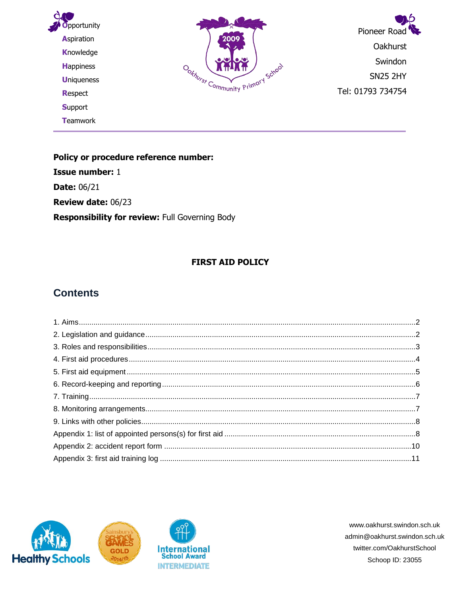

Policy or procedure reference number: **Issue number: 1 Date: 06/21** Review date: 06/23 Responsibility for review: Full Governing Body

#### **FIRST AID POLICY**

## **Contents**





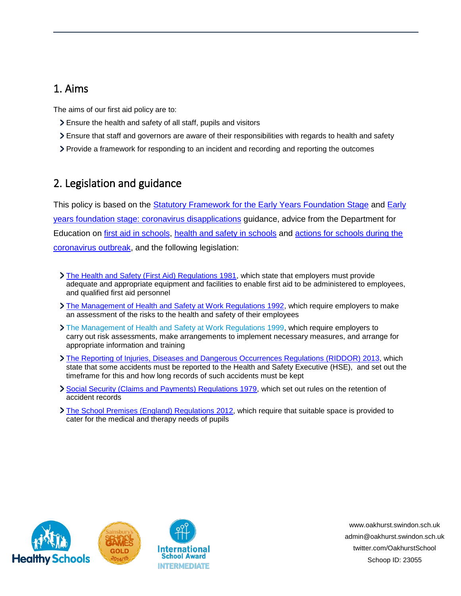## <span id="page-1-0"></span>1. Aims

The aims of our first aid policy are to:

- Ensure the health and safety of all staff, pupils and visitors
- Ensure that staff and governors are aware of their responsibilities with regards to health and safety
- Provide a framework for responding to an incident and recording and reporting the outcomes

# <span id="page-1-1"></span>2. Legislation and guidance

This policy is based on the [Statutory Framework for the Early Years Foundation Stage](https://www.gov.uk/government/publications/early-years-foundation-stage-framework--2) and [Early](https://www.gov.uk/government/publications/early-years-foundation-stage-framework--2/early-years-foundation-stage-coronavirus-disapplications)  [years foundation stage: coronavirus disapplications](https://www.gov.uk/government/publications/early-years-foundation-stage-framework--2/early-years-foundation-stage-coronavirus-disapplications) guidance, advice from the Department for Education on [first aid in schools,](https://www.gov.uk/government/publications/first-aid-in-schools) [health and safety in schools](https://www.gov.uk/government/publications/health-and-safety-advice-for-schools) and actions for schools during the [coronavirus outbreak,](https://www.gov.uk/government/publications/actions-for-schools-during-the-coronavirus-outbreak) and the following legislation:

- [The Health and Safety \(First Aid\) Regulations 1981,](http://www.legislation.gov.uk/uksi/1981/917/regulation/3/made) which state that employers must provide adequate and appropriate equipment and facilities to enable first aid to be administered to employees, and qualified first aid personnel
- [The Management of Health and Safety at Work Regulations 1992,](http://www.legislation.gov.uk/uksi/1992/2051/regulation/3/made) which require employers to make an assessment of the risks to the health and safety of their employees
- [The Management of Health and Safety at Work Regulations 1999,](http://www.legislation.gov.uk/uksi/1999/3242/contents/made) which require employers to carry out risk assessments, make arrangements to implement necessary measures, and arrange for appropriate information and training
- **[The Reporting of Injuries, Diseases and Dangerous Occurrences Regulations](http://www.legislation.gov.uk/uksi/2013/1471/schedule/1/paragraph/1/made) (RIDDOR) 2013, which** state that some accidents must be reported to the Health and Safety Executive (HSE), and set out the timeframe for this and how long records of such accidents must be kept
- [Social Security \(Claims and Payments\) Regulations 1979,](http://www.legislation.gov.uk/uksi/1979/628) which set out rules on the retention of accident records
- [The School Premises \(England\) Regulations 2012,](http://www.legislation.gov.uk/uksi/2012/1943/regulation/5/made) which require that suitable space is provided to cater for the medical and therapy needs of pupils





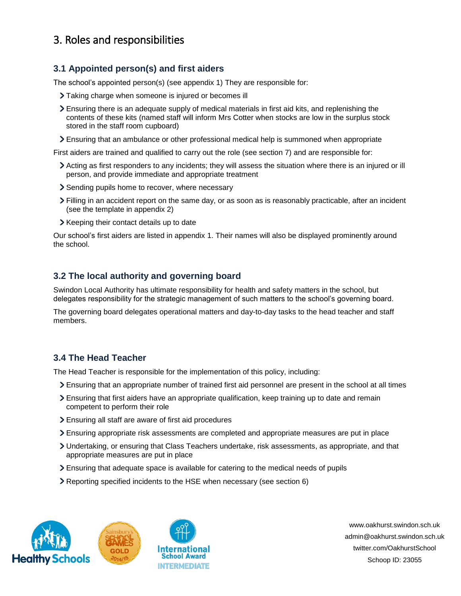# <span id="page-2-0"></span>3. Roles and responsibilities

### **3.1 Appointed person(s) and first aiders**

The school's appointed person(s) (see appendix 1) They are responsible for:

- > Taking charge when someone is injured or becomes ill
- Ensuring there is an adequate supply of medical materials in first aid kits, and replenishing the contents of these kits (named staff will inform Mrs Cotter when stocks are low in the surplus stock stored in the staff room cupboard)
- Ensuring that an ambulance or other professional medical help is summoned when appropriate

First aiders are trained and qualified to carry out the role (see section 7) and are responsible for:

- Acting as first responders to any incidents; they will assess the situation where there is an injured or ill person, and provide immediate and appropriate treatment
- Sending pupils home to recover, where necessary
- Filling in an accident report on the same day, or as soon as is reasonably practicable, after an incident (see the template in appendix 2)
- > Keeping their contact details up to date

Our school's first aiders are listed in appendix 1. Their names will also be displayed prominently around the school.

### **3.2 The local authority and governing board**

Swindon Local Authority has ultimate responsibility for health and safety matters in the school, but delegates responsibility for the strategic management of such matters to the school's governing board.

The governing board delegates operational matters and day-to-day tasks to the head teacher and staff members.

#### **3.4 The Head Teacher**

The Head Teacher is responsible for the implementation of this policy, including:

- Ensuring that an appropriate number of trained first aid personnel are present in the school at all times
- Ensuring that first aiders have an appropriate qualification, keep training up to date and remain competent to perform their role
- Ensuring all staff are aware of first aid procedures
- Ensuring appropriate risk assessments are completed and appropriate measures are put in place
- Undertaking, or ensuring that Class Teachers undertake, risk assessments, as appropriate, and that appropriate measures are put in place
- Ensuring that adequate space is available for catering to the medical needs of pupils
- Reporting specified incidents to the HSE when necessary (see section 6)





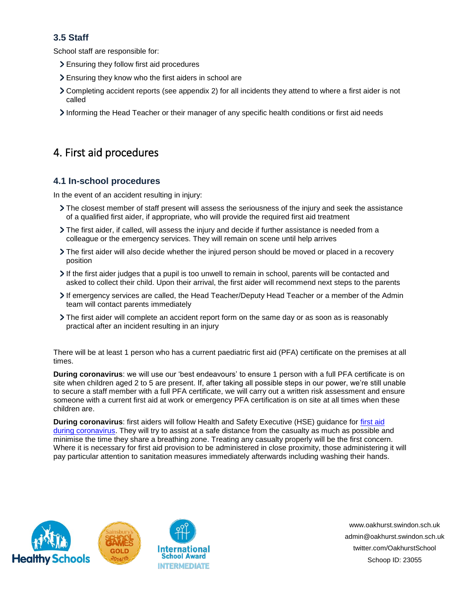## **3.5 Staff**

School staff are responsible for:

- Ensuring they follow first aid procedures
- Ensuring they know who the first aiders in school are
- Completing accident reports (see appendix 2) for all incidents they attend to where a first aider is not called
- Informing the Head Teacher or their manager of any specific health conditions or first aid needs

# <span id="page-3-0"></span>4. First aid procedures

### **4.1 In-school procedures**

In the event of an accident resulting in injury:

- The closest member of staff present will assess the seriousness of the injury and seek the assistance of a qualified first aider, if appropriate, who will provide the required first aid treatment
- The first aider, if called, will assess the injury and decide if further assistance is needed from a colleague or the emergency services. They will remain on scene until help arrives
- The first aider will also decide whether the injured person should be moved or placed in a recovery position
- If the first aider judges that a pupil is too unwell to remain in school, parents will be contacted and asked to collect their child. Upon their arrival, the first aider will recommend next steps to the parents
- If emergency services are called, the Head Teacher/Deputy Head Teacher or a member of the Admin team will contact parents immediately
- The first aider will complete an accident report form on the same day or as soon as is reasonably practical after an incident resulting in an injury

There will be at least 1 person who has a current paediatric first aid (PFA) certificate on the premises at all times.

**During coronavirus**: we will use our 'best endeavours' to ensure 1 person with a full PFA certificate is on site when children aged 2 to 5 are present. If, after taking all possible steps in our power, we're still unable to secure a staff member with a full PFA certificate, we will carry out a written risk assessment and ensure someone with a current first aid at work or emergency PFA certification is on site at all times when these children are.

**During coronavirus**: first aiders will follow Health and Safety Executive (HSE) guidance for [first aid](https://www.hse.gov.uk/coronavirus/first-aid-and-medicals/first-aid-certificate-coronavirus.htm)  [during coronavirus.](https://www.hse.gov.uk/coronavirus/first-aid-and-medicals/first-aid-certificate-coronavirus.htm) They will try to assist at a safe distance from the casualty as much as possible and minimise the time they share a breathing zone. Treating any casualty properly will be the first concern. Where it is necessary for first aid provision to be administered in close proximity, those administering it will pay particular attention to sanitation measures immediately afterwards including washing their hands.





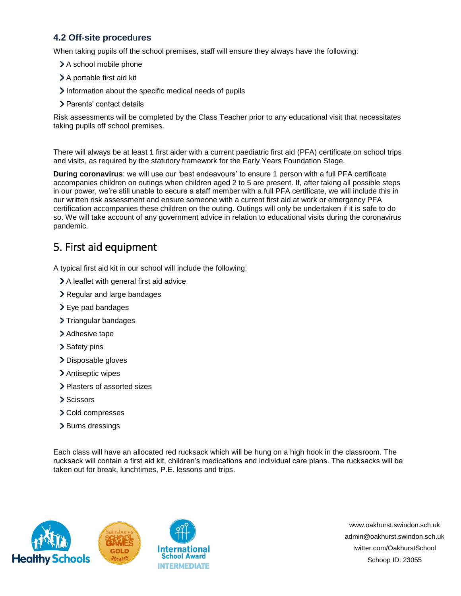### **4.2 Off-site proced**u**res**

When taking pupils off the school premises, staff will ensure they always have the following:

- > A school mobile phone
- > A portable first aid kit
- Information about the specific medical needs of pupils
- > Parents' contact details

Risk assessments will be completed by the Class Teacher prior to any educational visit that necessitates taking pupils off school premises.

There will always be at least 1 first aider with a current paediatric first aid (PFA) certificate on school trips and visits, as required by the statutory framework for the Early Years Foundation Stage.

**During coronavirus**: we will use our 'best endeavours' to ensure 1 person with a full PFA certificate accompanies children on outings when children aged 2 to 5 are present. If, after taking all possible steps in our power, we're still unable to secure a staff member with a full PFA certificate, we will include this in our written risk assessment and ensure someone with a current first aid at work or emergency PFA certification accompanies these children on the outing. Outings will only be undertaken if it is safe to do so. We will take account of any government advice in relation to educational visits during the coronavirus pandemic.

## <span id="page-4-0"></span>5. First aid equipment

A typical first aid kit in our school will include the following:

- A leaflet with general first aid advice
- > Regular and large bandages
- > Eye pad bandages
- > Triangular bandages
- > Adhesive tape
- > Safety pins
- > Disposable gloves
- > Antiseptic wipes
- > Plasters of assorted sizes
- > Scissors
- > Cold compresses
- > Burns dressings

Each class will have an allocated red rucksack which will be hung on a high hook in the classroom. The rucksack will contain a first aid kit, children's medications and individual care plans. The rucksacks will be taken out for break, lunchtimes, P.E. lessons and trips.





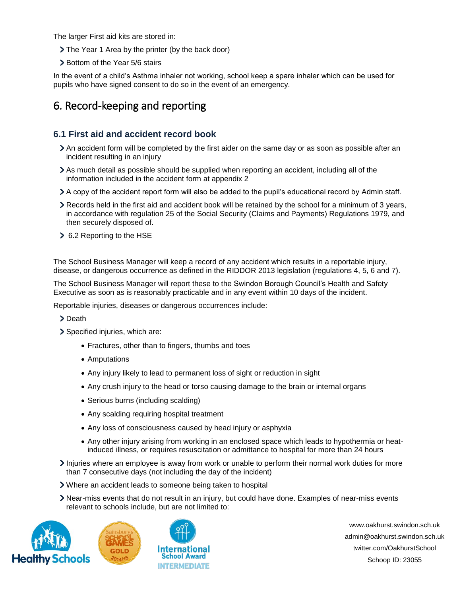The larger First aid kits are stored in:

- > The Year 1 Area by the printer (by the back door)
- > Bottom of the Year 5/6 stairs

In the event of a child's Asthma inhaler not working, school keep a spare inhaler which can be used for pupils who have signed consent to do so in the event of an emergency.

## <span id="page-5-0"></span>6. Record-keeping and reporting

#### **6.1 First aid and accident record book**

- An accident form will be completed by the first aider on the same day or as soon as possible after an incident resulting in an injury
- As much detail as possible should be supplied when reporting an accident, including all of the information included in the accident form at appendix 2
- A copy of the accident report form will also be added to the pupil's educational record by Admin staff.
- Records held in the first aid and accident book will be retained by the school for a minimum of 3 years, in accordance with regulation 25 of the Social Security (Claims and Payments) Regulations 1979, and then securely disposed of.
- 6.2 Reporting to the HSE

The School Business Manager will keep a record of any accident which results in a reportable injury, disease, or dangerous occurrence as defined in the RIDDOR 2013 legislation (regulations 4, 5, 6 and 7).

The School Business Manager will report these to the Swindon Borough Council's Health and Safety Executive as soon as is reasonably practicable and in any event within 10 days of the incident.

Reportable injuries, diseases or dangerous occurrences include:

> Death

> Specified injuries, which are:

- Fractures, other than to fingers, thumbs and toes
- Amputations
- Any injury likely to lead to permanent loss of sight or reduction in sight
- Any crush injury to the head or torso causing damage to the brain or internal organs
- Serious burns (including scalding)
- Any scalding requiring hospital treatment
- Any loss of consciousness caused by head injury or asphyxia
- Any other injury arising from working in an enclosed space which leads to hypothermia or heatinduced illness, or requires resuscitation or admittance to hospital for more than 24 hours
- Injuries where an employee is away from work or unable to perform their normal work duties for more than 7 consecutive days (not including the day of the incident)
- Where an accident leads to someone being taken to hospital
- Near-miss events that do not result in an injury, but could have done. Examples of near-miss events relevant to schools include, but are not limited to:





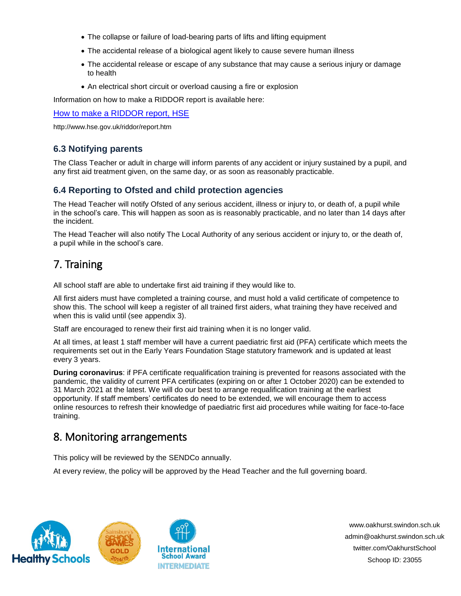- The collapse or failure of load-bearing parts of lifts and lifting equipment
- The accidental release of a biological agent likely to cause severe human illness
- The accidental release or escape of any substance that may cause a serious injury or damage to health
- An electrical short circuit or overload causing a fire or explosion

Information on how to make a RIDDOR report is available here:

#### [How to make a RIDDOR report, HSE](http://www.hse.gov.uk/riddor/report.htm)

http://www.hse.gov.uk/riddor/report.htm

### **6.3 Notifying parents**

The Class Teacher or adult in charge will inform parents of any accident or injury sustained by a pupil, and any first aid treatment given, on the same day, or as soon as reasonably practicable.

### **6.4 Reporting to Ofsted and child protection agencies**

The Head Teacher will notify Ofsted of any serious accident, illness or injury to, or death of, a pupil while in the school's care. This will happen as soon as is reasonably practicable, and no later than 14 days after the incident.

The Head Teacher will also notify The Local Authority of any serious accident or injury to, or the death of, a pupil while in the school's care.

# <span id="page-6-0"></span>7. Training

All school staff are able to undertake first aid training if they would like to.

All first aiders must have completed a training course, and must hold a valid certificate of competence to show this. The school will keep a register of all trained first aiders, what training they have received and when this is valid until (see appendix 3).

Staff are encouraged to renew their first aid training when it is no longer valid.

At all times, at least 1 staff member will have a current paediatric first aid (PFA) certificate which meets the requirements set out in the Early Years Foundation Stage statutory framework and is updated at least every 3 years.

**During coronavirus**: if PFA certificate requalification training is prevented for reasons associated with the pandemic, the validity of current PFA certificates (expiring on or after 1 October 2020) can be extended to 31 March 2021 at the latest. We will do our best to arrange requalification training at the earliest opportunity. If staff members' certificates do need to be extended, we will encourage them to access online resources to refresh their knowledge of paediatric first aid procedures while waiting for face-to-face training.

## <span id="page-6-1"></span>8. Monitoring arrangements

This policy will be reviewed by the SENDCo annually.

At every review, the policy will be approved by the Head Teacher and the full governing board.





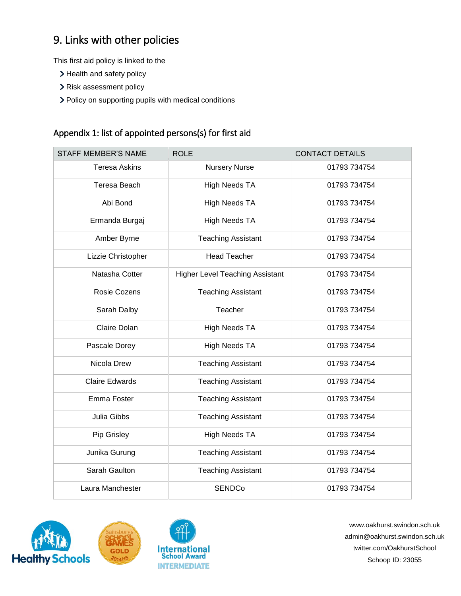# <span id="page-7-0"></span>9. Links with other policies

This first aid policy is linked to the

- > Health and safety policy
- > Risk assessment policy
- > Policy on supporting pupils with medical conditions

## <span id="page-7-1"></span>Appendix 1: list of appointed persons(s) for first aid

| <b>STAFF MEMBER'S NAME</b> | <b>ROLE</b>                            | <b>CONTACT DETAILS</b> |
|----------------------------|----------------------------------------|------------------------|
| <b>Teresa Askins</b>       | <b>Nursery Nurse</b>                   | 01793 734754           |
| Teresa Beach               | <b>High Needs TA</b>                   | 01793 734754           |
| Abi Bond                   | <b>High Needs TA</b>                   | 01793 734754           |
| Ermanda Burgaj             | <b>High Needs TA</b>                   | 01793 734754           |
| Amber Byrne                | <b>Teaching Assistant</b>              | 01793 734754           |
| Lizzie Christopher         | <b>Head Teacher</b>                    | 01793 734754           |
| Natasha Cotter             | <b>Higher Level Teaching Assistant</b> | 01793 734754           |
| Rosie Cozens               | <b>Teaching Assistant</b>              | 01793 734754           |
| Sarah Dalby                | Teacher                                | 01793 734754           |
| Claire Dolan               | <b>High Needs TA</b>                   | 01793 734754           |
| Pascale Dorey              | <b>High Needs TA</b>                   | 01793 734754           |
| Nicola Drew                | <b>Teaching Assistant</b>              | 01793 734754           |
| <b>Claire Edwards</b>      | <b>Teaching Assistant</b>              | 01793 734754           |
| Emma Foster                | <b>Teaching Assistant</b>              | 01793 734754           |
| Julia Gibbs                | <b>Teaching Assistant</b>              | 01793 734754           |
| Pip Grisley                | <b>High Needs TA</b>                   | 01793 734754           |
| Junika Gurung              | <b>Teaching Assistant</b>              | 01793 734754           |
| Sarah Gaulton              | <b>Teaching Assistant</b>              | 01793 734754           |
| Laura Manchester           | <b>SENDCo</b>                          | 01793 734754           |





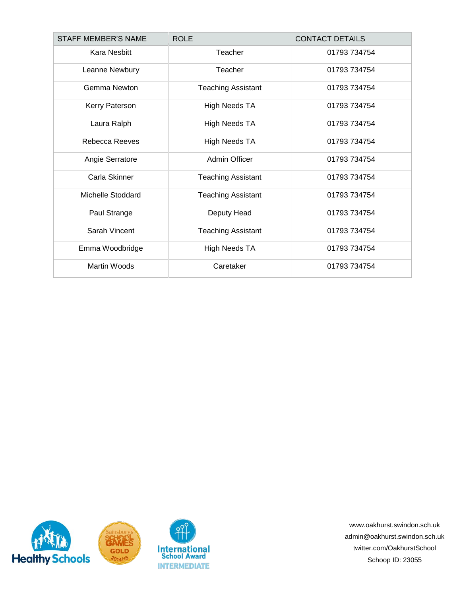| <b>STAFF MEMBER'S NAME</b> | <b>ROLE</b>               | <b>CONTACT DETAILS</b> |
|----------------------------|---------------------------|------------------------|
| <b>Kara Nesbitt</b>        | Teacher                   | 01793 734754           |
| Leanne Newbury             | Teacher                   | 01793 734754           |
| Gemma Newton               | <b>Teaching Assistant</b> | 01793 734754           |
| Kerry Paterson             | <b>High Needs TA</b>      | 01793 734754           |
| Laura Ralph                | <b>High Needs TA</b>      | 01793 734754           |
| Rebecca Reeves             | <b>High Needs TA</b>      | 01793 734754           |
| Angie Serratore            | Admin Officer             | 01793 734754           |
| Carla Skinner              | <b>Teaching Assistant</b> | 01793 734754           |
| <b>Michelle Stoddard</b>   | <b>Teaching Assistant</b> | 01793 734754           |
| Paul Strange               | Deputy Head               | 01793 734754           |
| Sarah Vincent              | <b>Teaching Assistant</b> | 01793 734754           |
| Emma Woodbridge            | <b>High Needs TA</b>      | 01793 734754           |
| <b>Martin Woods</b>        | Caretaker                 | 01793 734754           |

<span id="page-8-0"></span>

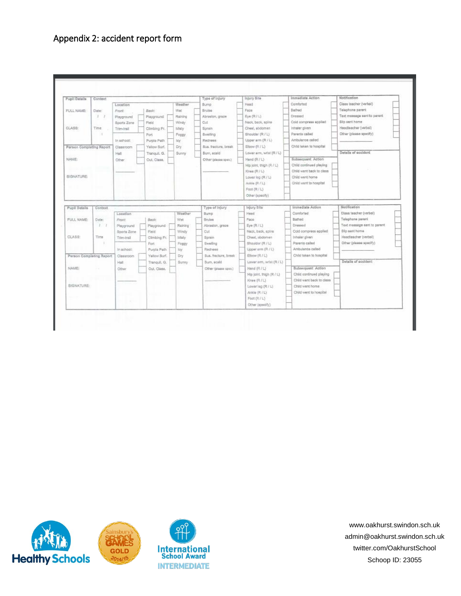## Appendix 2: accident report form

| Pupil Details            | Context                  |             |              |         | Type of Injury       | Injury Site              | Immediate Action         | Notification                |
|--------------------------|--------------------------|-------------|--------------|---------|----------------------|--------------------------|--------------------------|-----------------------------|
|                          |                          | Location    |              | Weather | Bump                 | Haad                     | Comforted                | Class teacher (verbal)      |
| <b>FULL NAME:</b>        | Date:                    | Front:      | Back:        | Wet     | Bruise               | Face                     | Bathed                   | Telephone parent            |
|                          | $\mathcal{F}$<br>$\cdot$ | Flayground  | Playground   | Raining | Abrasion, graze      | Eye (R./L)               | Dressed                  | Text measure sent to parent |
|                          |                          | Sports Zone | Field        | Windy   | Cut                  | Neck, back, spine        | Cold compress applied    | Slip sent home              |
| CLASS:                   | Time                     | Trim-Irail  | Climbing Fr. | Misty   | Sprain               | Chest, abdoman           | Inhaler given            | Headleecher (verbal)        |
|                          | з                        |             | Fort         | Foggy   | Swelling             | Shoulder (R / L)         | Parents called           | Other (please specify)      |
|                          |                          | in school:  | Purple Path  | loy.    | Redness              | Upper arm (R/L)          | Ambulance called         |                             |
| Person Completing Report |                          | Classroom   | Yellow Surf. | Dry     | Sus fracture break   | 目bow (R / L)             | Child taken to hosoital  |                             |
|                          |                          | Hall        | Tranquil, G. | Sunny   | Bum, ecsid           | Lower arm, wrist (R / L) |                          | Details of scoldant         |
| NAME                     |                          | Other       | Out. Class:  |         | Other (please spec.) | Hand (R/L)               | Subsequent Action        |                             |
|                          |                          |             |              |         |                      | Hip joint, thigh (R / L) | Child continued playing  |                             |
|                          |                          |             |              |         |                      | Knee (R / L)             | Child went back to class |                             |
| SIGNATURE:               |                          |             |              |         |                      | Lower log (R / L)        | Child went home          |                             |
|                          |                          |             |              |         |                      | Ankle (R./L)             | Child work to hospital   |                             |
|                          |                          |             |              |         |                      | Foot (R / L)             |                          |                             |
|                          |                          |             |              |         |                      | Other (specify)          |                          |                             |
|                          |                          |             |              |         |                      |                          |                          |                             |
| Pupil Details            | Context                  |             |              |         | Type of Injury       | Injury Site              | Immediate Action         | Notification                |
|                          |                          | Location    |              | Weather | Bump.                | Head                     | Comforted                | Class teacher (verbal)      |
| FULL NAME:               | Date:                    | Front       | Back:        | Welt    | <b>Bruise</b>        | Face                     | Bathed                   | Telephone parent            |
|                          | 177                      | Playaround  | Playpround   | Raining | Abrasion, graze      | Eye (R/L)                | Dressed                  | Text message sent to parent |
|                          |                          | Sports Zone | Field-       | Windy   | Cut                  | Neck, back, spine.       | Cold compress applied    | Slip sent home              |
| CLASS:                   | Time                     | Trim-Irail  | Climbing Fr. | Misty   | Sprain               | Chest, abdomen           | Inheler given            | Headteacher (verbal)        |
|                          | $\sim$                   |             | Fort.        | Foggy   | Swelling             | Shoulder (R / L)         | Parents called           | Other (please specify)      |
|                          |                          | In school:  | Purple Path  | loy.    | Redness              | Upper arm (R / L)        | Ambulance called         |                             |
| Person Completing Report |                          | Classroom   | Yellow Burf. | Dry     | Sus, fracture, break | Elbow (R/L)              | Child taken to hospital  |                             |
|                          |                          | Hall        | Tranquil, G. | Sunny   | Burn, scald          | Lower arm, wrist (R / L) |                          | Details of accident         |
| NAME:                    |                          | Other       | Out. Class.  |         | Other (please spec.) | Hand (R./L)              | Subsequent Action        |                             |
|                          |                          |             |              |         |                      | Hip joint, thigh (R./L)  | Child confinued playing  |                             |
|                          |                          |             |              |         |                      | Knee (R / L)             | Child went beck to class |                             |
| SIGNATURE:               |                          |             |              |         |                      | LowerTep (R / L)         | Child went home          |                             |
|                          |                          |             |              |         |                      | Arkle (R / L)            | Child went to hospital   |                             |
|                          |                          |             |              |         |                      | Foot (R/L)               |                          |                             |
|                          |                          |             |              |         |                      |                          |                          |                             |
|                          |                          |             |              |         |                      | Other (specify)          |                          |                             |

<span id="page-9-0"></span>